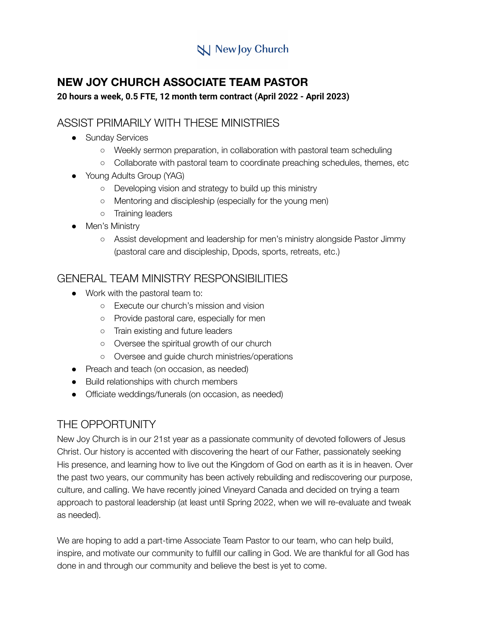# **N** New Joy Church

## **NEW JOY CHURCH ASSOCIATE TEAM PASTOR**

#### **20 hours a week, 0.5 FTE, 12 month term contract (April 2022 - April 2023)**

#### ASSIST PRIMARILY WITH THESE MINISTRIES

- Sunday Services
	- Weekly sermon preparation, in collaboration with pastoral team scheduling
	- Collaborate with pastoral team to coordinate preaching schedules, themes, etc
- Young Adults Group (YAG)
	- Developing vision and strategy to build up this ministry
	- Mentoring and discipleship (especially for the young men)
	- Training leaders
- Men's Ministry
	- Assist development and leadership for men's ministry alongside Pastor Jimmy (pastoral care and discipleship, Dpods, sports, retreats, etc.)

### GENERAL TEAM MINISTRY RESPONSIBILITIES

- Work with the pastoral team to:
	- Execute our church's mission and vision
	- Provide pastoral care, especially for men
	- Train existing and future leaders
	- Oversee the spiritual growth of our church
	- Oversee and guide church ministries/operations
- Preach and teach (on occasion, as needed)
- Build relationships with church members
- Officiate weddings/funerals (on occasion, as needed)

### THE OPPORTUNITY

New Joy Church is in our 21st year as a passionate community of devoted followers of Jesus Christ. Our history is accented with discovering the heart of our Father, passionately seeking His presence, and learning how to live out the Kingdom of God on earth as it is in heaven. Over the past two years, our community has been actively rebuilding and rediscovering our purpose, culture, and calling. We have recently joined Vineyard Canada and decided on trying a team approach to pastoral leadership (at least until Spring 2022, when we will re-evaluate and tweak as needed).

We are hoping to add a part-time Associate Team Pastor to our team, who can help build, inspire, and motivate our community to fulfill our calling in God. We are thankful for all God has done in and through our community and believe the best is yet to come.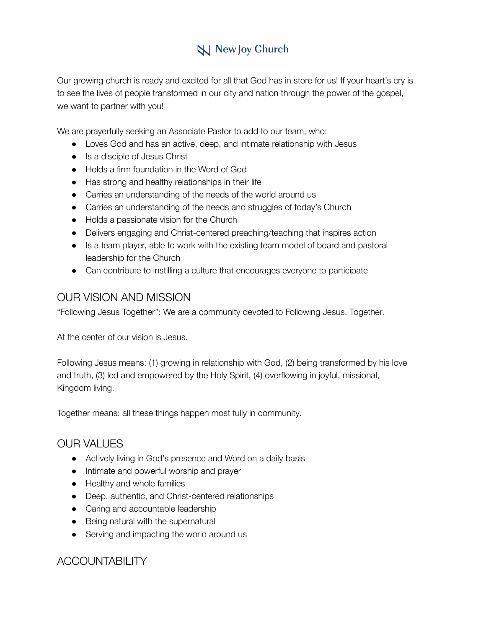# **N** New Joy Church

Our growing church is ready and excited for all that God has in store for us! If your heart's cry is to see the lives of people transformed in our city and nation through the power of the gospel, we want to partner with you!

We are prayerfully seeking an Associate Pastor to add to our team, who:

- Loves God and has an active, deep, and intimate relationship with Jesus
- Is a disciple of Jesus Christ
- Holds a firm foundation in the Word of God
- Has strong and healthy relationships in their life
- Carries an understanding of the needs of the world around us
- Carries an understanding of the needs and struggles of today's Church
- Holds a passionate vision for the Church
- Delivers engaging and Christ-centered preaching/teaching that inspires action
- Is a team player, able to work with the existing team model of board and pastoral leadership for the Church
- Can contribute to instilling a culture that encourages everyone to participate

#### OUR VISION AND MISSION

"Following Jesus Together": We are a community devoted to Following Jesus. Together.

At the center of our vision is Jesus.

Following Jesus means: (1) growing in relationship with God, (2) being transformed by his love and truth, (3) led and empowered by the Holy Spirit, (4) overflowing in joyful, missional, Kingdom living.

Together means: all these things happen most fully in community.

#### OUR VALUES

- Actively living in God's presence and Word on a daily basis
- Intimate and powerful worship and prayer
- Healthy and whole families
- Deep, authentic, and Christ-centered relationships
- Caring and accountable leadership
- Being natural with the supernatural
- Serving and impacting the world around us

### ACCOUNTABILITY